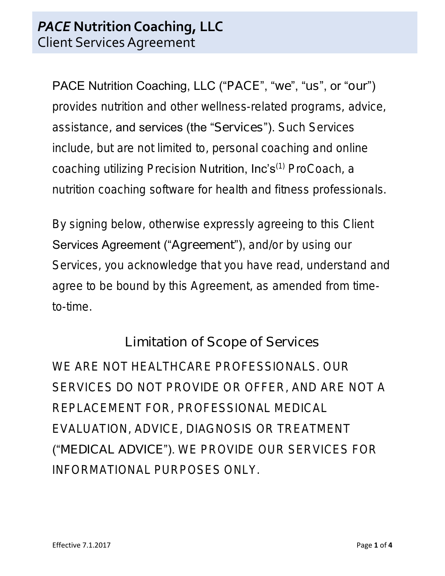PACE Nutrition Coaching, LLC ("PACE", "we", "us", or "our") provides nutrition and other wellness-related programs, advice, assistance, and services (the "Services"). Such Services include, but are not limited to, personal coaching and online coaching utilizing Precision Nutrition, Inc's<sup>(1)</sup> ProCoach, a nutrition coaching software for health and fitness professionals.

By signing below, otherwise expressly agreeing to this Client Services Agreement ("Agreement"), and/or by using our Services, you acknowledge that you have read, understand and agree to be bound by this Agreement, as amended from timeto-time.

# Limitation of Scope of Services

WE ARE NOT HEALTHCARE PROFESSIONALS. OUR SERVICES DO NOT PROVIDE OR OFFER, AND ARE NOT A REPLACEMENT FOR, PROFESSIONAL MEDICAL EVALUATION, ADVICE, DIAGNOSIS OR TREATMENT ("MEDICAL ADVICE"). WE PROVIDE OUR SERVICES FOR INFORMATIONAL PURPOSES ONLY.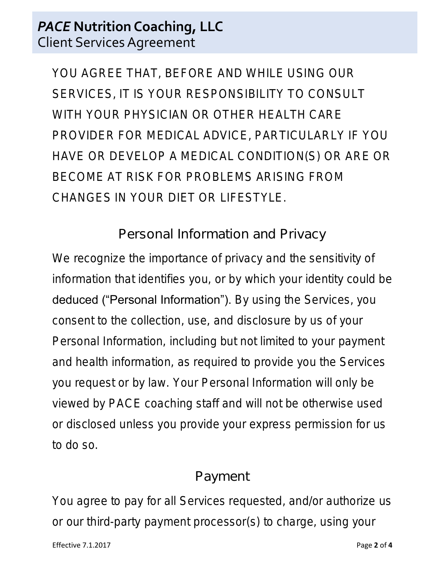## *PACE* **Nutrition Coaching, LLC** Client Services Agreement

YOU AGREE THAT, BEFORE AND WHILE USING OUR SERVICES, IT IS YOUR RESPONSIBILITY TO CONSULT WITH YOUR PHYSICIAN OR OTHER HEALTH CARE PROVIDER FOR MEDICAL ADVICE, PARTICULARLY IF YOU HAVE OR DEVELOP A MEDICAL CONDITION(S) OR ARE OR BECOME AT RISK FOR PROBLEMS ARISING FROM CHANGES IN YOUR DIET OR LIFESTYLE.

Personal Information and Privacy

We recognize the importance of privacy and the sensitivity of information that identifies you, or by which your identity could be deduced ("Personal Information"). By using the Services, you consent to the collection, use, and disclosure by us of your Personal Information, including but not limited to your payment and health information, as required to provide you the Services you request or by law. Your Personal Information will only be viewed by PACE coaching staff and will not be otherwise used or disclosed unless you provide your express permission for us to do so.

#### Payment

You agree to pay for all Services requested, and/or authorize us or our third-party payment processor(s) to charge, using your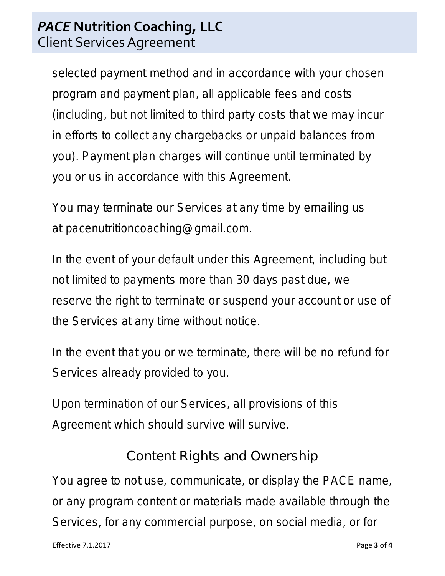## *PACE* **Nutrition Coaching, LLC** Client Services Agreement

selected payment method and in accordance with your chosen program and payment plan, all applicable fees and costs (including, but not limited to third party costs that we may incur in efforts to collect any chargebacks or unpaid balances from you). Payment plan charges will continue until terminated by you or us in accordance with this Agreement.

You may terminate our Services at any time by emailing us at pacenutritioncoaching@gmail.com.

In the event of your default under this Agreement, including but not limited to payments more than 30 days past due, we reserve the right to terminate or suspend your account or use of the Services at any time without notice.

In the event that you or we terminate, there will be no refund for Services already provided to you.

Upon termination of our Services, all provisions of this Agreement which should survive will survive.

# Content Rights and Ownership

You agree to not use, communicate, or display the PACE name, or any program content or materials made available through the Services, for any commercial purpose, on social media, or for